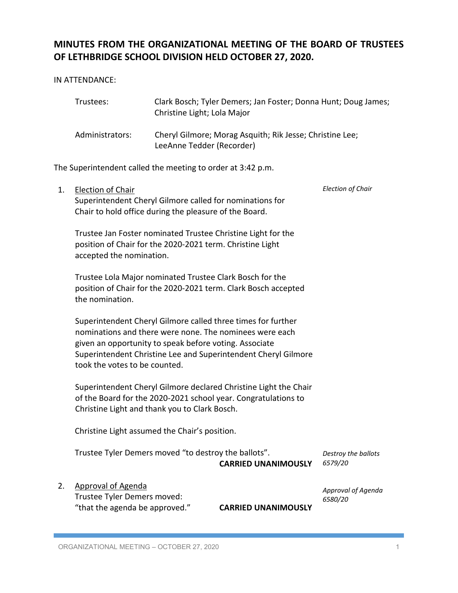# **MINUTES FROM THE ORGANIZATIONAL MEETING OF THE BOARD OF TRUSTEES OF LETHBRIDGE SCHOOL DIVISION HELD OCTOBER 27, 2020.**

IN ATTENDANCE:

| Trustees:       | Clark Bosch; Tyler Demers; Jan Foster; Donna Hunt; Doug James;<br>Christine Light; Lola Major |
|-----------------|-----------------------------------------------------------------------------------------------|
| Administrators: | Cheryl Gilmore; Morag Asquith; Rik Jesse; Christine Lee;<br>LeeAnne Tedder (Recorder)         |

The Superintendent called the meeting to order at 3:42 p.m.

| 1. | Election of Chair                                                |                               | <b>Election of Chair</b> |  |
|----|------------------------------------------------------------------|-------------------------------|--------------------------|--|
|    | Superintendent Cheryl Gilmore called for nominations for         |                               |                          |  |
|    | Chair to hold office during the pleasure of the Board.           |                               |                          |  |
|    |                                                                  |                               |                          |  |
|    | Trustee Jan Foster nominated Trustee Christine Light for the     |                               |                          |  |
|    | position of Chair for the 2020-2021 term. Christine Light        |                               |                          |  |
|    | accepted the nomination.                                         |                               |                          |  |
|    |                                                                  |                               |                          |  |
|    | Trustee Lola Major nominated Trustee Clark Bosch for the         |                               |                          |  |
|    | position of Chair for the 2020-2021 term. Clark Bosch accepted   |                               |                          |  |
|    | the nomination.                                                  |                               |                          |  |
|    |                                                                  |                               |                          |  |
|    | Superintendent Cheryl Gilmore called three times for further     |                               |                          |  |
|    | nominations and there were none. The nominees were each          |                               |                          |  |
|    | given an opportunity to speak before voting. Associate           |                               |                          |  |
|    | Superintendent Christine Lee and Superintendent Cheryl Gilmore   |                               |                          |  |
|    | took the votes to be counted.                                    |                               |                          |  |
|    |                                                                  |                               |                          |  |
|    | Superintendent Cheryl Gilmore declared Christine Light the Chair |                               |                          |  |
|    | of the Board for the 2020-2021 school year. Congratulations to   |                               |                          |  |
|    | Christine Light and thank you to Clark Bosch.                    |                               |                          |  |
|    |                                                                  |                               |                          |  |
|    | Christine Light assumed the Chair's position.                    |                               |                          |  |
|    |                                                                  |                               |                          |  |
|    | Trustee Tyler Demers moved "to destroy the ballots".             | Destroy the ballots           |                          |  |
|    |                                                                  | <b>CARRIED UNANIMOUSLY</b>    | 6579/20                  |  |
|    |                                                                  |                               |                          |  |
| 2. | <b>Approval of Agenda</b>                                        | Approval of Agenda<br>6580/20 |                          |  |
|    | Trustee Tyler Demers moved:                                      |                               |                          |  |
|    | "that the agenda be approved."                                   | <b>CARRIED UNANIMOUSLY</b>    |                          |  |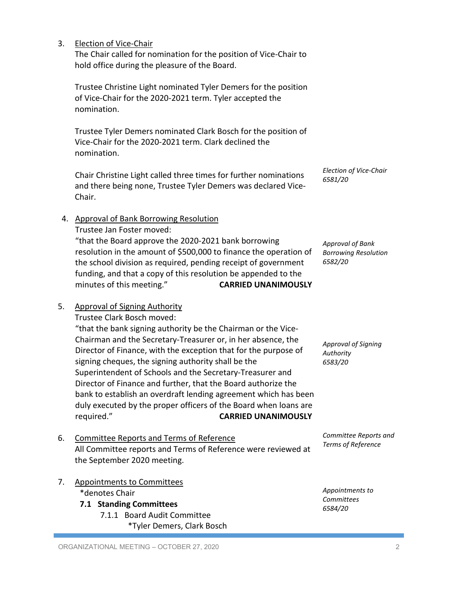#### 3. Election of Vice-Chair

 The Chair called for nomination for the position of Vice-Chair to hold office during the pleasure of the Board.

Trustee Christine Light nominated Tyler Demers for the position of Vice-Chair for the 2020-2021 term. Tyler accepted the nomination.

Trustee Tyler Demers nominated Clark Bosch for the position of Vice-Chair for the 2020-2021 term. Clark declined the nomination.

Chair Christine Light called three times for further nominations and there being none, Trustee Tyler Demers was declared Vice-Chair.

resolution in the amount of \$500,000 to finance the operation of the school division as required, pending receipt of government funding, and that a copy of this resolution be appended to the minutes of this meeting." **CARRIED UNANIMOUSLY**

"that the Board approve the 2020-2021 bank borrowing

*Election of Vice-Chair 6581/20*

*Approval of Bank Borrowing Resolution 6582/20*

*Approval of Signing* 

*Authority 6583/20*

#### 5. Approval of Signing Authority

Trustee Clark Bosch moved:

4. Approval of Bank Borrowing Resolution

Trustee Jan Foster moved:

"that the bank signing authority be the Chairman or the Vice-Chairman and the Secretary-Treasurer or, in her absence, the Director of Finance, with the exception that for the purpose of signing cheques, the signing authority shall be the Superintendent of Schools and the Secretary-Treasurer and Director of Finance and further, that the Board authorize the bank to establish an overdraft lending agreement which has been duly executed by the proper officers of the Board when loans are required." **CARRIED UNANIMOUSLY**

- 6. Committee Reports and Terms of Reference All Committee reports and Terms of Reference were reviewed at the September 2020 meeting.
- 7. Appointments to Committees \*denotes Chair **7.1 Standing Committees**
	- 7.1.1 Board Audit Committee \*Tyler Demers, Clark Bosch

*Committee Reports and Terms of Reference*

*Appointments to Committees 6584/20*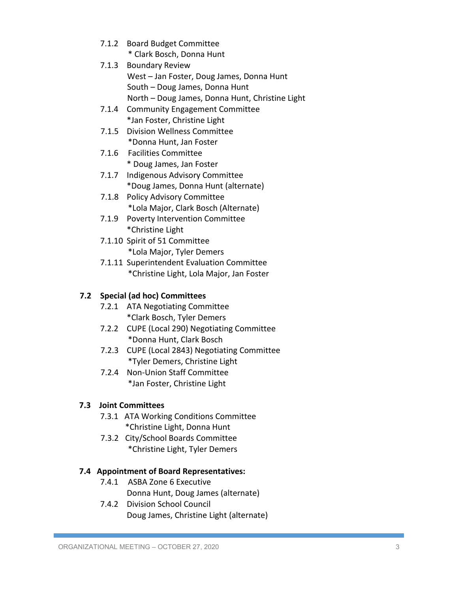- 7.1.2 Board Budget Committee
	- \* Clark Bosch, Donna Hunt
- 7.1.3 Boundary Review West – Jan Foster, Doug James, Donna Hunt South – Doug James, Donna Hunt North – Doug James, Donna Hunt, Christine Light
- 7.1.4 Community Engagement Committee \*Jan Foster, Christine Light
- 7.1.5 Division Wellness Committee \*Donna Hunt, Jan Foster
- 7.1.6 Facilities Committee \* Doug James, Jan Foster
- 7.1.7 Indigenous Advisory Committee \*Doug James, Donna Hunt (alternate)
- 7.1.8 Policy Advisory Committee \*Lola Major, Clark Bosch (Alternate)
- 7.1.9 Poverty Intervention Committee \*Christine Light
- 7.1.10 Spirit of 51 Committee \*Lola Major, Tyler Demers
- 7.1.11 Superintendent Evaluation Committee \*Christine Light, Lola Major, Jan Foster

## **7.2 Special (ad hoc) Committees**

- 7.2.1 ATA Negotiating Committee \*Clark Bosch, Tyler Demers
- 7.2.2 CUPE (Local 290) Negotiating Committee \*Donna Hunt, Clark Bosch
- 7.2.3 CUPE (Local 2843) Negotiating Committee \*Tyler Demers, Christine Light
- 7.2.4 Non-Union Staff Committee \*Jan Foster, Christine Light

### **7.3 Joint Committees**

- 7.3.1 ATA Working Conditions Committee \*Christine Light, Donna Hunt
- 7.3.2 City/School Boards Committee \*Christine Light, Tyler Demers

#### **7.4 Appointment of Board Representatives:**

- 7.4.1 ASBA Zone 6 Executive Donna Hunt, Doug James (alternate)
- 7.4.2 Division School Council Doug James, Christine Light (alternate)